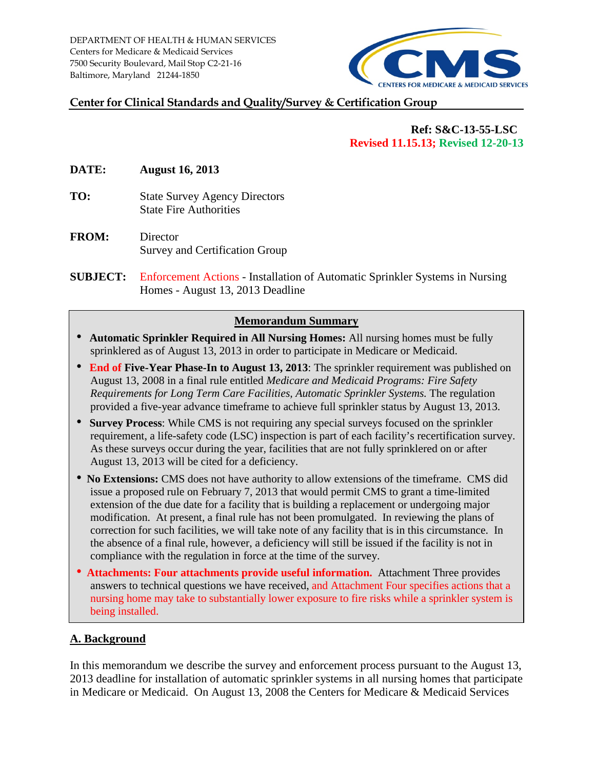DEPARTMENT OF HEALTH & HUMAN SERVICES Centers for Medicare & Medicaid Services 7500 Security Boulevard, Mail Stop C2-21-16 Baltimore, Maryland 21244-1850



#### **Center for Clinical Standards and Quality/Survey & Certification Group**

### **Ref: S&C-13-55-LSC Revised 11.15.13; Revised 12-20-13**

**DATE: August 16, 2013** 

- **TO:** State Survey Agency Directors State Fire Authorities
- **FROM:** Director Survey and Certification Group
- **SUBJECT:** Enforcement Actions Installation of Automatic Sprinkler Systems in Nursing Homes - August 13, 2013 Deadline

## **Memorandum Summary**

- **Automatic Sprinkler Required in All Nursing Homes:** All nursing homes must be fully sprinklered as of August 13, 2013 in order to participate in Medicare or Medicaid.
- **End of Five-Year Phase-In to August 13, 2013**: The sprinkler requirement was published on August 13, 2008 in a final rule entitled *Medicare and Medicaid Programs: Fire Safety Requirements for Long Term Care Facilities, Automatic Sprinkler Systems.* The regulation provided a five-year advance timeframe to achieve full sprinkler status by August 13, 2013.
- **Survey Process**: While CMS is not requiring any special surveys focused on the sprinkler requirement, a life-safety code (LSC) inspection is part of each facility's recertification survey. As these surveys occur during the year, facilities that are not fully sprinklered on or after August 13, 2013 will be cited for a deficiency.
- **No Extensions:** CMS does not have authority to allow extensions of the timeframe.CMS did issue a proposed rule on February 7, 2013 that would permit CMS to grant a time-limited extension of the due date for a facility that is building a replacement or undergoing major modification. At present, a final rule has not been promulgated. In reviewing the plans of correction for such facilities, we will take note of any facility that is in this circumstance. In the absence of a final rule, however, a deficiency will still be issued if the facility is not in compliance with the regulation in force at the time of the survey.
- **Attachments: Four attachments provide useful information.** Attachment Three provides answers to technical questions we have received, and Attachment Four specifies actions that a nursing home may take to substantially lower exposure to fire risks while a sprinkler system is being installed.

## **A. Background**

In this memorandum we describe the survey and enforcement process pursuant to the August 13, 2013 deadline for installation of automatic sprinkler systems in all nursing homes that participate in Medicare or Medicaid. On August 13, 2008 the Centers for Medicare & Medicaid Services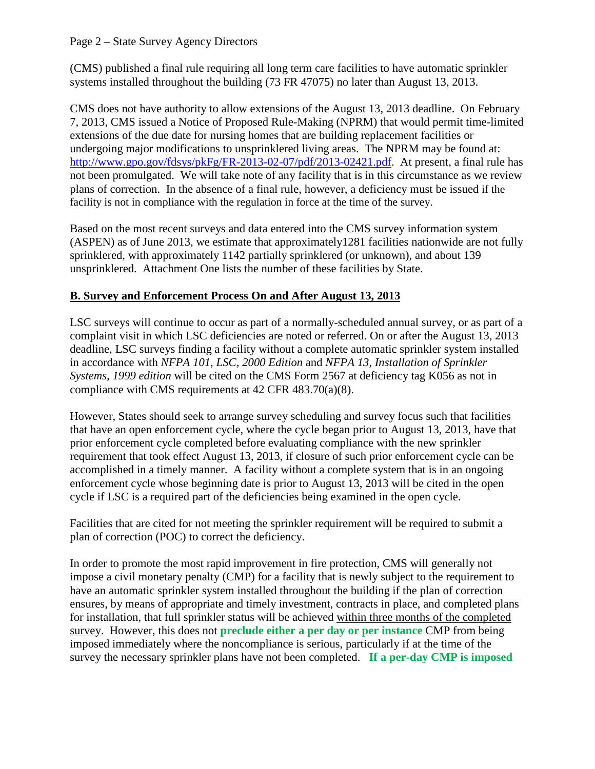(CMS) published a final rule requiring all long term care facilities to have automatic sprinkler systems installed throughout the building (73 FR 47075) no later than August 13, 2013.

CMS does not have authority to allow extensions of the August 13, 2013 deadline.On February 7, 2013, CMS issued a Notice of Proposed Rule-Making (NPRM) that would permit time-limited extensions of the due date for nursing homes that are building replacement facilities or undergoing major modifications to unsprinklered living areas. The NPRM may be found at: [http://www.gpo.gov/fdsys/pkFg/FR-2013-02-07/pdf/2013-02421.pdf.](http://www.gpo.gov/fdsys/pkFg/FR-2013-02-07/pdf/2013-02421.pdf) At present, a final rule has not been promulgated. We will take note of any facility that is in this circumstance as we review plans of correction. In the absence of a final rule, however, a deficiency must be issued if the facility is not in compliance with the regulation in force at the time of the survey.

Based on the most recent surveys and data entered into the CMS survey information system (ASPEN) as of June 2013, we estimate that approximately1281 facilities nationwide are not fully sprinklered, with approximately 1142 partially sprinklered (or unknown), and about 139 unsprinklered. Attachment One lists the number of these facilities by State.

# **B. Survey and Enforcement Process On and After August 13, 2013**

LSC surveys will continue to occur as part of a normally-scheduled annual survey, or as part of a complaint visit in which LSC deficiencies are noted or referred. On or after the August 13, 2013 deadline, LSC surveys finding a facility without a complete automatic sprinkler system installed in accordance with *NFPA 101, LSC, 2000 Edition* and *NFPA 13, Installation of Sprinkler Systems, 1999 edition* will be cited on the CMS Form 2567 at deficiency tag K056 as not in compliance with CMS requirements at 42 CFR 483.70(a)(8).

However, States should seek to arrange survey scheduling and survey focus such that facilities that have an open enforcement cycle, where the cycle began prior to August 13, 2013, have that prior enforcement cycle completed before evaluating compliance with the new sprinkler requirement that took effect August 13, 2013, if closure of such prior enforcement cycle can be accomplished in a timely manner. A facility without a complete system that is in an ongoing enforcement cycle whose beginning date is prior to August 13, 2013 will be cited in the open cycle if LSC is a required part of the deficiencies being examined in the open cycle.

Facilities that are cited for not meeting the sprinkler requirement will be required to submit a plan of correction (POC) to correct the deficiency.

In order to promote the most rapid improvement in fire protection, CMS will generally not impose a civil monetary penalty (CMP) for a facility that is newly subject to the requirement to have an automatic sprinkler system installed throughout the building if the plan of correction ensures, by means of appropriate and timely investment, contracts in place, and completed plans for installation, that full sprinkler status will be achieved within three months of the completed survey. However, this does not **preclude either a per day or per instance** CMP from being imposed immediately where the noncompliance is serious, particularly if at the time of the survey the necessary sprinkler plans have not been completed. **If a per-day CMP is imposed**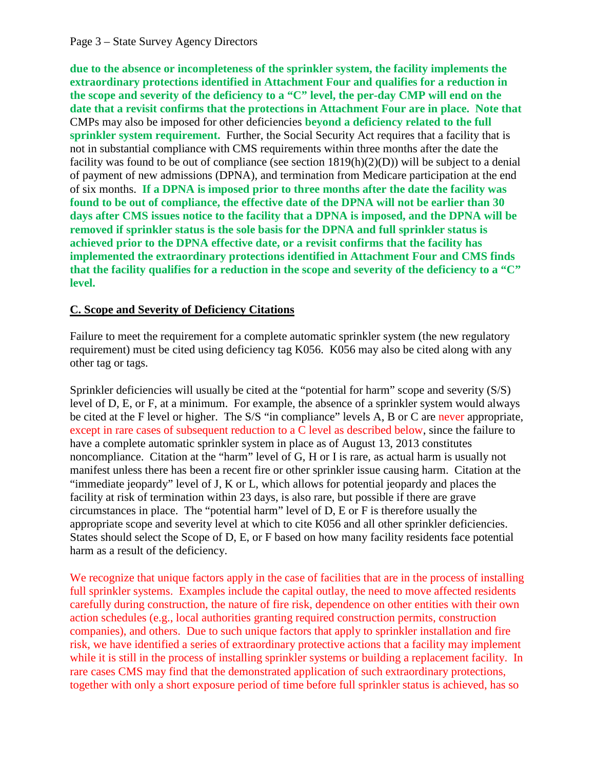**due to the absence or incompleteness of the sprinkler system, the facility implements the extraordinary protections identified in Attachment Four and qualifies for a reduction in the scope and severity of the deficiency to a "C" level, the per-day CMP will end on the date that a revisit confirms that the protections in Attachment Four are in place. Note that** CMPs may also be imposed for other deficiencies **beyond a deficiency related to the full sprinkler system requirement.** Further, the Social Security Act requires that a facility that is not in substantial compliance with CMS requirements within three months after the date the facility was found to be out of compliance (see section  $1819(h)(2)(D)$ ) will be subject to a denial of payment of new admissions (DPNA), and termination from Medicare participation at the end of six months. **If a DPNA is imposed prior to three months after the date the facility was found to be out of compliance, the effective date of the DPNA will not be earlier than 30 days after CMS issues notice to the facility that a DPNA is imposed, and the DPNA will be removed if sprinkler status is the sole basis for the DPNA and full sprinkler status is achieved prior to the DPNA effective date, or a revisit confirms that the facility has implemented the extraordinary protections identified in Attachment Four and CMS finds that the facility qualifies for a reduction in the scope and severity of the deficiency to a "C" level.** 

# **C. Scope and Severity of Deficiency Citations**

Failure to meet the requirement for a complete automatic sprinkler system (the new regulatory requirement) must be cited using deficiency tag K056. K056 may also be cited along with any other tag or tags.

Sprinkler deficiencies will usually be cited at the "potential for harm" scope and severity (S/S) level of D, E, or F, at a minimum. For example, the absence of a sprinkler system would always be cited at the F level or higher. The S/S "in compliance" levels A, B or C are never appropriate, except in rare cases of subsequent reduction to a C level as described below, since the failure to have a complete automatic sprinkler system in place as of August 13, 2013 constitutes noncompliance. Citation at the "harm" level of G, H or I is rare, as actual harm is usually not manifest unless there has been a recent fire or other sprinkler issue causing harm. Citation at the "immediate jeopardy" level of J, K or L, which allows for potential jeopardy and places the facility at risk of termination within 23 days, is also rare, but possible if there are grave circumstances in place. The "potential harm" level of D, E or F is therefore usually the appropriate scope and severity level at which to cite K056 and all other sprinkler deficiencies. States should select the Scope of D, E, or F based on how many facility residents face potential harm as a result of the deficiency.

We recognize that unique factors apply in the case of facilities that are in the process of installing full sprinkler systems. Examples include the capital outlay, the need to move affected residents carefully during construction, the nature of fire risk, dependence on other entities with their own action schedules (e.g., local authorities granting required construction permits, construction companies), and others. Due to such unique factors that apply to sprinkler installation and fire risk, we have identified a series of extraordinary protective actions that a facility may implement while it is still in the process of installing sprinkler systems or building a replacement facility. In rare cases CMS may find that the demonstrated application of such extraordinary protections, together with only a short exposure period of time before full sprinkler status is achieved, has so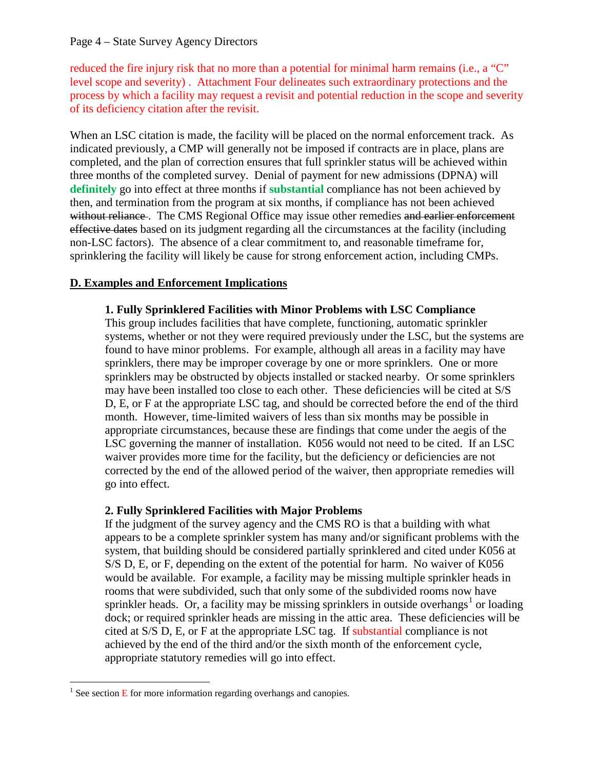#### Page 4 – State Survey Agency Directors

reduced the fire injury risk that no more than a potential for minimal harm remains (i.e., a "C" level scope and severity) . Attachment Four delineates such extraordinary protections and the process by which a facility may request a revisit and potential reduction in the scope and severity of its deficiency citation after the revisit.

When an LSC citation is made, the facility will be placed on the normal enforcement track. As indicated previously, a CMP will generally not be imposed if contracts are in place, plans are completed, and the plan of correction ensures that full sprinkler status will be achieved within three months of the completed survey. Denial of payment for new admissions (DPNA) will **definitely** go into effect at three months if **substantial** compliance has not been achieved by then, and termination from the program at six months, if compliance has not been achieved without reliance. The CMS Regional Office may issue other remedies and earlier enforcement effective dates based on its judgment regarding all the circumstances at the facility (including non-LSC factors). The absence of a clear commitment to, and reasonable timeframe for, sprinklering the facility will likely be cause for strong enforcement action, including CMPs.

## **D. Examples and Enforcement Implications**

#### **1. Fully Sprinklered Facilities with Minor Problems with LSC Compliance**

This group includes facilities that have complete, functioning, automatic sprinkler systems, whether or not they were required previously under the LSC, but the systems are found to have minor problems. For example, although all areas in a facility may have sprinklers, there may be improper coverage by one or more sprinklers. One or more sprinklers may be obstructed by objects installed or stacked nearby. Or some sprinklers may have been installed too close to each other. These deficiencies will be cited at S/S D, E, or F at the appropriate LSC tag, and should be corrected before the end of the third month. However, time-limited waivers of less than six months may be possible in appropriate circumstances, because these are findings that come under the aegis of the LSC governing the manner of installation. K056 would not need to be cited. If an LSC waiver provides more time for the facility, but the deficiency or deficiencies are not corrected by the end of the allowed period of the waiver, then appropriate remedies will go into effect.

#### **2. Fully Sprinklered Facilities with Major Problems**

If the judgment of the survey agency and the CMS RO is that a building with what appears to be a complete sprinkler system has many and/or significant problems with the system, that building should be considered partially sprinklered and cited under K056 at S/S D, E, or F, depending on the extent of the potential for harm. No waiver of K056 would be available. For example, a facility may be missing multiple sprinkler heads in rooms that were subdivided, such that only some of the subdivided rooms now have sprinkler heads. Or, a facility may be missing sprinklers in outside overhangs<sup>[1](#page-3-0)</sup> or loading dock; or required sprinkler heads are missing in the attic area. These deficiencies will be cited at S/S D, E, or F at the appropriate LSC tag. If substantial compliance is not achieved by the end of the third and/or the sixth month of the enforcement cycle, appropriate statutory remedies will go into effect.

<span id="page-3-0"></span><sup>&</sup>lt;sup>1</sup> See section  $\overline{E}$  for more information regarding overhangs and canopies.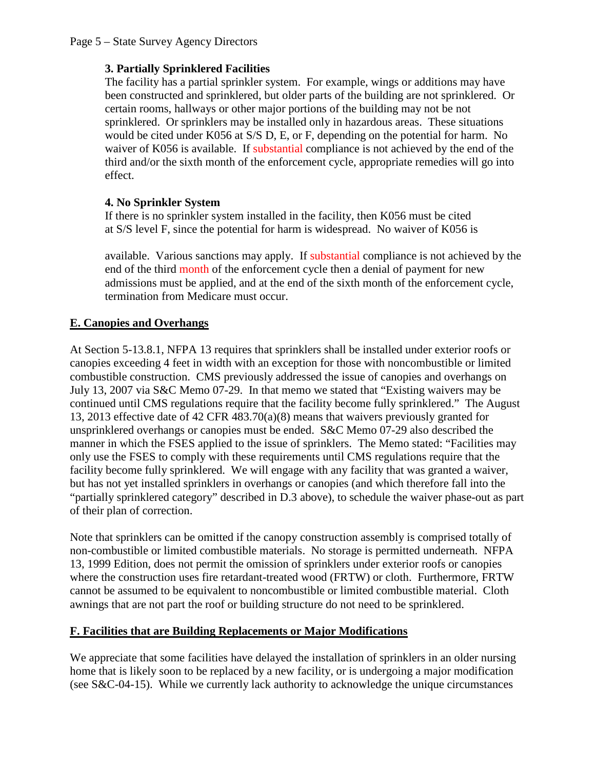# **3. Partially Sprinklered Facilities**

The facility has a partial sprinkler system. For example, wings or additions may have been constructed and sprinklered, but older parts of the building are not sprinklered. Or certain rooms, hallways or other major portions of the building may not be not sprinklered. Or sprinklers may be installed only in hazardous areas. These situations would be cited under K056 at S/S D, E, or F, depending on the potential for harm. No waiver of K056 is available. If substantial compliance is not achieved by the end of the third and/or the sixth month of the enforcement cycle, appropriate remedies will go into effect.

# **4. No Sprinkler System**

If there is no sprinkler system installed in the facility, then K056 must be cited at S/S level F, since the potential for harm is widespread. No waiver of K056 is

available. Various sanctions may apply. If substantial compliance is not achieved by the end of the third month of the enforcement cycle then a denial of payment for new admissions must be applied, and at the end of the sixth month of the enforcement cycle, termination from Medicare must occur.

# **E. Canopies and Overhangs**

At Section 5-13.8.1, NFPA 13 requires that sprinklers shall be installed under exterior roofs or canopies exceeding 4 feet in width with an exception for those with noncombustible or limited combustible construction. CMS previously addressed the issue of canopies and overhangs on July 13, 2007 via S&C Memo 07-29. In that memo we stated that "Existing waivers may be continued until CMS regulations require that the facility become fully sprinklered." The August 13, 2013 effective date of 42 CFR 483.70(a)(8) means that waivers previously granted for unsprinklered overhangs or canopies must be ended. S&C Memo 07-29 also described the manner in which the FSES applied to the issue of sprinklers. The Memo stated: "Facilities may only use the FSES to comply with these requirements until CMS regulations require that the facility become fully sprinklered. We will engage with any facility that was granted a waiver, but has not yet installed sprinklers in overhangs or canopies (and which therefore fall into the "partially sprinklered category" described in D.3 above), to schedule the waiver phase-out as part of their plan of correction.

Note that sprinklers can be omitted if the canopy construction assembly is comprised totally of non-combustible or limited combustible materials. No storage is permitted underneath. NFPA 13, 1999 Edition, does not permit the omission of sprinklers under exterior roofs or canopies where the construction uses fire retardant-treated wood (FRTW) or cloth. Furthermore, FRTW cannot be assumed to be equivalent to noncombustible or limited combustible material. Cloth awnings that are not part the roof or building structure do not need to be sprinklered.

# **F. Facilities that are Building Replacements or Major Modifications**

We appreciate that some facilities have delayed the installation of sprinklers in an older nursing home that is likely soon to be replaced by a new facility, or is undergoing a major modification (see S&C-04-15). While we currently lack authority to acknowledge the unique circumstances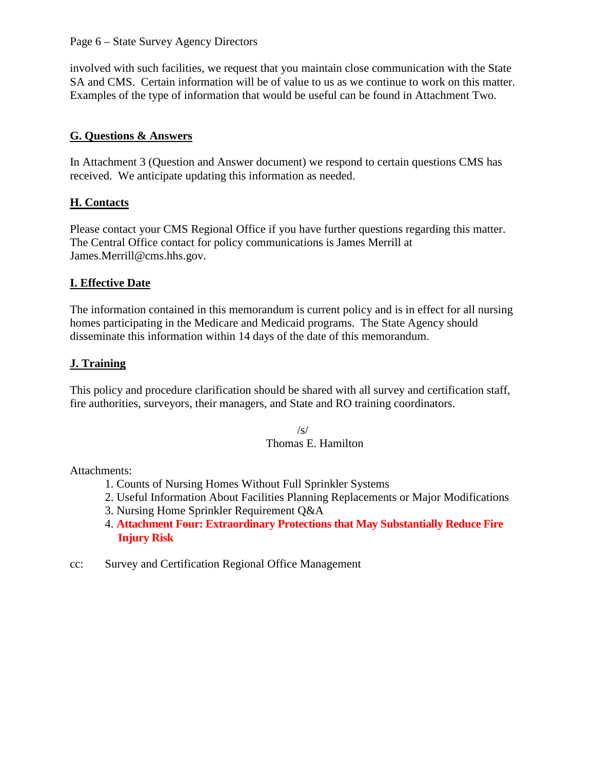#### Page 6 – State Survey Agency Directors

involved with such facilities, we request that you maintain close communication with the State SA and CMS. Certain information will be of value to us as we continue to work on this matter. Examples of the type of information that would be useful can be found in Attachment Two.

## **G. Questions & Answers**

In Attachment 3 (Question and Answer document) we respond to certain questions CMS has received. We anticipate updating this information as needed.

## **H. Contacts**

Please contact your CMS Regional Office if you have further questions regarding this matter. The Central Office contact for policy communications is James Merrill at James.Merrill@cms.hhs.gov.

## **I. Effective Date**

The information contained in this memorandum is current policy and is in effect for all nursing homes participating in the Medicare and Medicaid programs. The State Agency should disseminate this information within 14 days of the date of this memorandum.

# **J. Training**

This policy and procedure clarification should be shared with all survey and certification staff, fire authorities, surveyors, their managers, and State and RO training coordinators.

> $\sqrt{s}$ Thomas E. Hamilton

Attachments:

- 1. Counts of Nursing Homes Without Full Sprinkler Systems
- 2. Useful Information About Facilities Planning Replacements or Major Modifications
- 3. Nursing Home Sprinkler Requirement Q&A
- 4. **Attachment Four: Extraordinary Protections that May Substantially Reduce Fire Injury Risk**
- cc: Survey and Certification Regional Office Management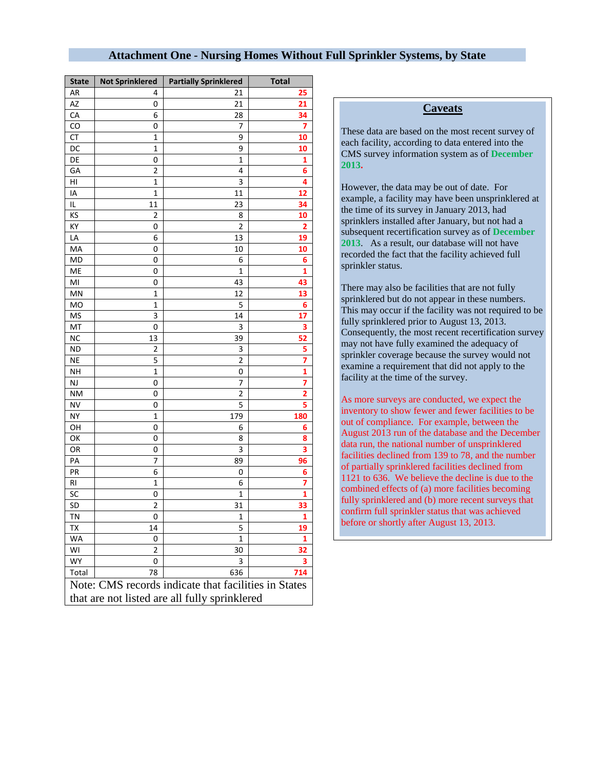#### **Attachment One - Nursing Homes Without Full Sprinkler Systems, by State**

| <b>State</b>                                         | <b>Not Sprinklered</b>                        | <b>Partially Sprinklered</b> | <b>Total</b> |  |
|------------------------------------------------------|-----------------------------------------------|------------------------------|--------------|--|
| AR                                                   | 4                                             | 21                           | 25           |  |
| AZ                                                   | 0                                             | 21                           | 21           |  |
| CA                                                   | 6                                             | 28                           | 34           |  |
| CO                                                   | 0                                             | 7                            | 7            |  |
| <b>CT</b>                                            | 1                                             | 9                            | 10           |  |
| DC                                                   | 1                                             | 9                            | 10           |  |
| DE                                                   | 0                                             | 1                            | 1            |  |
| GA                                                   | $\overline{2}$                                | 4                            | 6            |  |
| HI                                                   | 1                                             | 3                            | 4            |  |
| IA                                                   | $\mathbf 1$                                   | 11                           | 12           |  |
| IL                                                   | 11                                            | 23                           | 34           |  |
| ΚS                                                   | 2                                             | 8                            | 10           |  |
| КY                                                   | 0                                             | $\overline{\mathbf{c}}$      | 2            |  |
| LA                                                   | 6                                             | 13                           | 19           |  |
| MA                                                   | 0                                             | 10                           | 10           |  |
| MD                                                   | 0                                             | 6                            | 6            |  |
| ME                                                   | 0                                             | 1                            | 1            |  |
| MI                                                   | 0                                             | 43                           | 43           |  |
| MN                                                   | 1                                             | 12                           | 13           |  |
| MO                                                   | $\mathbf 1$                                   | 5                            | 6            |  |
| MS                                                   | 3                                             | 14                           | 17           |  |
| МT                                                   | 0                                             | 3                            | з            |  |
| ΝC                                                   | 13                                            | 39                           | 52           |  |
| <b>ND</b>                                            | 2                                             | 3                            | 5            |  |
| <b>NE</b>                                            | 5                                             | $\overline{\mathbf{c}}$      | 7            |  |
| <b>NH</b>                                            | $\mathbf 1$                                   | 0                            | 1            |  |
| NJ                                                   | 0                                             | 7                            | 7            |  |
| <b>NM</b>                                            | 0                                             | 2                            | 2            |  |
| NV                                                   | 0                                             | 5                            | 5            |  |
| NΥ                                                   | 1                                             | 179                          | <b>180</b>   |  |
| OН                                                   | 0                                             | 6                            | 6            |  |
| OK                                                   | 0                                             | 8                            | 8<br>3       |  |
| OR<br>PA                                             | 0                                             | 3<br>89                      | 96           |  |
| PR                                                   | 7<br>6                                        | 0                            | 6            |  |
| RI                                                   | 1                                             | 6                            | 7            |  |
| SC                                                   | 0                                             | 1                            | 1            |  |
| SD                                                   | 2                                             | 31                           | 33           |  |
| TN                                                   | 0                                             | 1                            | 1            |  |
| TX                                                   | 14                                            | 5                            | 19           |  |
| WA                                                   | 0                                             | 1                            | 1            |  |
| WI                                                   | $\overline{2}$                                | 30                           | 32           |  |
| WY                                                   | 0                                             | 3                            | 3            |  |
| Total                                                | 78                                            | 636                          | 714          |  |
| Note: CMS records indicate that facilities in States |                                               |                              |              |  |
|                                                      | that are not listed are all fully sprinklered |                              |              |  |

#### **Caveats**

These data are based on the most recent survey of each facility, according to data entered into the CMS survey information system as of **December 2013.** 

However, the data may be out of date. For example, a facility may have been unsprinklered at the time of its survey in January 2013, had sprinklers installed after January, but not had a subsequent recertification survey as of **December 2013**. As a result, our database will not have recorded the fact that the facility achieved full sprinkler status.

There may also be facilities that are not fully sprinklered but do not appear in these numbers. This may occur if the facility was not required to be fully sprinklered prior to August 13, 2013. Consequently, the most recent recertification survey may not have fully examined the adequacy of sprinkler coverage because the survey would not examine a requirement that did not apply to the facility at the time of the survey.

As more surveys are conducted, we expect the inventory to show fewer and fewer facilities to be out of compliance. For example, between the August 2013 run of the database and the December data run, the national number of unsprinklered facilities declined from 139 to 78, and the number of partially sprinklered facilities declined from 1121 to 636. We believe the decline is due to the combined effects of (a) more facilities becoming fully sprinklered and (b) more recent surveys that confirm full sprinkler status that was achieved before or shortly after August 13, 2013.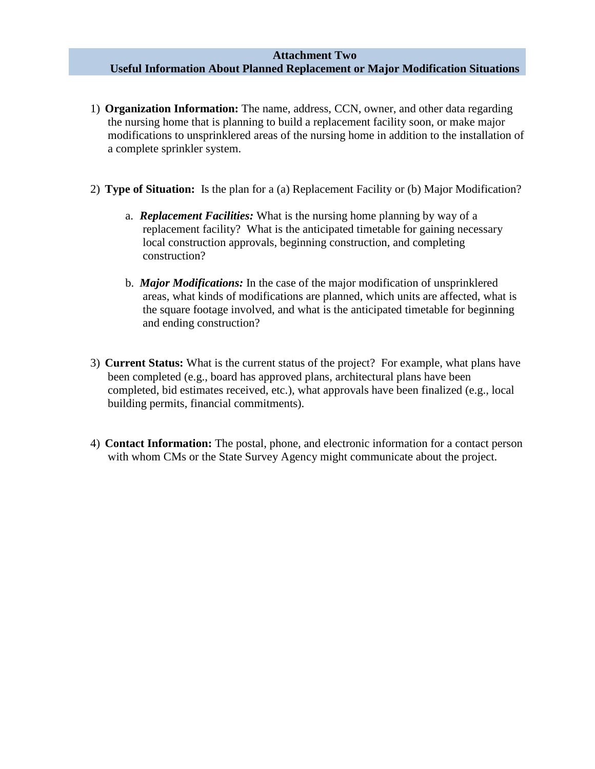#### **Attachment Two Useful Information About Planned Replacement or Major Modification Situations**

- 1) **Organization Information:** The name, address, CCN, owner, and other data regarding the nursing home that is planning to build a replacement facility soon, or make major modifications to unsprinklered areas of the nursing home in addition to the installation of a complete sprinkler system.
- 2) **Type of Situation:**Is the plan for a (a) Replacement Facility or (b) Major Modification?
	- a. *Replacement Facilities:* What is the nursing home planning by way of a replacement facility? What is the anticipated timetable for gaining necessary local construction approvals, beginning construction, and completing construction?
	- b. *Major Modifications:* In the case of the major modification of unsprinklered areas, what kinds of modifications are planned, which units are affected, what is the square footage involved, and what is the anticipated timetable for beginning and ending construction?
- 3) **Current Status:** What is the current status of the project? For example, what plans have been completed (e.g., board has approved plans, architectural plans have been completed, bid estimates received, etc.), what approvals have been finalized (e.g., local building permits, financial commitments).
- 4) **Contact Information:** The postal, phone, and electronic information for a contact person with whom CMs or the State Survey Agency might communicate about the project.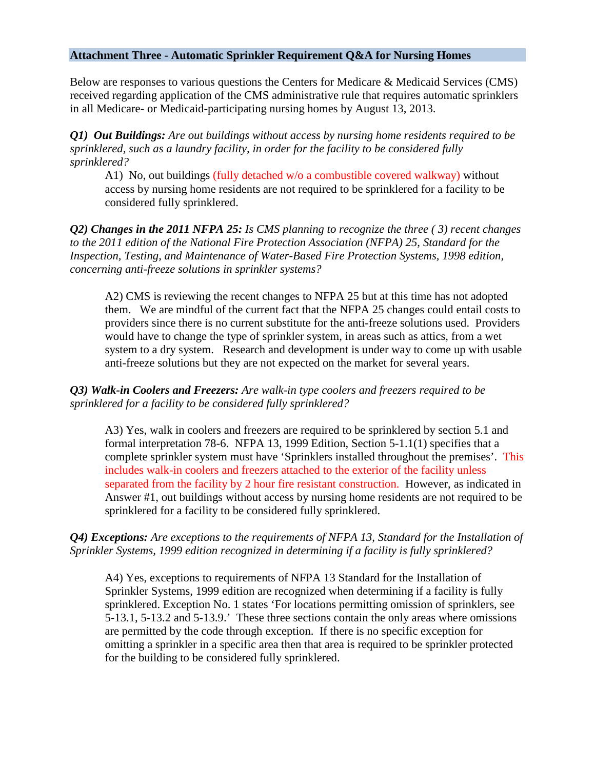#### **Attachment Three - Automatic Sprinkler Requirement Q&A for Nursing Homes**

Below are responses to various questions the Centers for Medicare & Medicaid Services (CMS) received regarding application of the CMS administrative rule that requires automatic sprinklers in all Medicare- or Medicaid-participating nursing homes by August 13, 2013.

*Q1) Out Buildings: Are out buildings without access by nursing home residents required to be sprinklered, such as a laundry facility, in order for the facility to be considered fully sprinklered?*

A1) No, out buildings (fully detached w/o a combustible covered walkway) without access by nursing home residents are not required to be sprinklered for a facility to be considered fully sprinklered.

*Q2) Changes in the 2011 NFPA 25: Is CMS planning to recognize the three ( 3) recent changes to the 2011 edition of the National Fire Protection Association (NFPA) 25, Standard for the Inspection, Testing, and Maintenance of Water-Based Fire Protection Systems, 1998 edition, concerning anti-freeze solutions in sprinkler systems?*

A2) CMS is reviewing the recent changes to NFPA 25 but at this time has not adopted them. We are mindful of the current fact that the NFPA 25 changes could entail costs to providers since there is no current substitute for the anti-freeze solutions used. Providers would have to change the type of sprinkler system, in areas such as attics, from a wet system to a dry system. Research and development is under way to come up with usable anti-freeze solutions but they are not expected on the market for several years.

#### *Q3) Walk-in Coolers and Freezers: Are walk-in type coolers and freezers required to be sprinklered for a facility to be considered fully sprinklered?*

A3) Yes, walk in coolers and freezers are required to be sprinklered by section 5.1 and formal interpretation 78-6. NFPA 13, 1999 Edition, Section 5-1.1(1) specifies that a complete sprinkler system must have 'Sprinklers installed throughout the premises'. This includes walk-in coolers and freezers attached to the exterior of the facility unless separated from the facility by 2 hour fire resistant construction. However, as indicated in Answer #1, out buildings without access by nursing home residents are not required to be sprinklered for a facility to be considered fully sprinklered.

#### *Q4) Exceptions: Are exceptions to the requirements of NFPA 13, Standard for the Installation of Sprinkler Systems, 1999 edition recognized in determining if a facility is fully sprinklered?*

A4) Yes, exceptions to requirements of NFPA 13 Standard for the Installation of Sprinkler Systems, 1999 edition are recognized when determining if a facility is fully sprinklered. Exception No. 1 states 'For locations permitting omission of sprinklers, see 5-13.1, 5-13.2 and 5-13.9.' These three sections contain the only areas where omissions are permitted by the code through exception. If there is no specific exception for omitting a sprinkler in a specific area then that area is required to be sprinkler protected for the building to be considered fully sprinklered.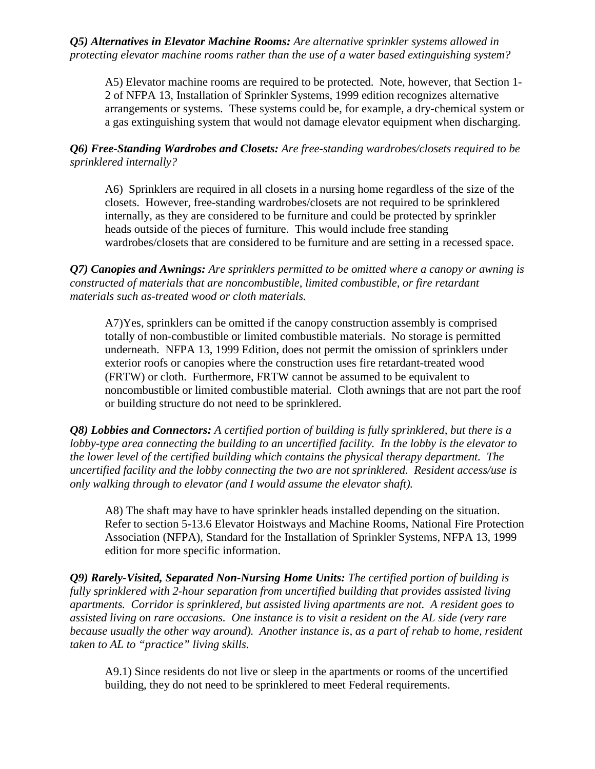*Q5) Alternatives in Elevator Machine Rooms: Are alternative sprinkler systems allowed in protecting elevator machine rooms rather than the use of a water based extinguishing system?*

A5) Elevator machine rooms are required to be protected. Note, however, that Section 1- 2 of NFPA 13, Installation of Sprinkler Systems, 1999 edition recognizes alternative arrangements or systems. These systems could be, for example, a dry-chemical system or a gas extinguishing system that would not damage elevator equipment when discharging.

*Q6) Free-Standing Wardrobes and Closets: Are free-standing wardrobes/closets required to be sprinklered internally?*

A6) Sprinklers are required in all closets in a nursing home regardless of the size of the closets. However, free-standing wardrobes/closets are not required to be sprinklered internally, as they are considered to be furniture and could be protected by sprinkler heads outside of the pieces of furniture. This would include free standing wardrobes/closets that are considered to be furniture and are setting in a recessed space.

*Q7) Canopies and Awnings: Are sprinklers permitted to be omitted where a canopy or awning is constructed of materials that are noncombustible, limited combustible, or fire retardant materials such as-treated wood or cloth materials.*

A7)Yes, sprinklers can be omitted if the canopy construction assembly is comprised totally of non-combustible or limited combustible materials. No storage is permitted underneath. NFPA 13, 1999 Edition, does not permit the omission of sprinklers under exterior roofs or canopies where the construction uses fire retardant-treated wood (FRTW) or cloth. Furthermore, FRTW cannot be assumed to be equivalent to noncombustible or limited combustible material. Cloth awnings that are not part the roof or building structure do not need to be sprinklered.

*Q8) Lobbies and Connectors: A certified portion of building is fully sprinklered, but there is a lobby-type area connecting the building to an uncertified facility. In the lobby is the elevator to the lower level of the certified building which contains the physical therapy department. The uncertified facility and the lobby connecting the two are not sprinklered. Resident access/use is only walking through to elevator (and I would assume the elevator shaft).*

A8) The shaft may have to have sprinkler heads installed depending on the situation. Refer to section 5-13.6 Elevator Hoistways and Machine Rooms, National Fire Protection Association (NFPA), Standard for the Installation of Sprinkler Systems, NFPA 13, 1999 edition for more specific information.

*Q9) Rarely-Visited, Separated Non-Nursing Home Units: The certified portion of building is fully sprinklered with 2-hour separation from uncertified building that provides assisted living apartments. Corridor is sprinklered, but assisted living apartments are not. A resident goes to assisted living on rare occasions. One instance is to visit a resident on the AL side (very rare because usually the other way around). Another instance is, as a part of rehab to home, resident taken to AL to "practice" living skills.*

A9.1) Since residents do not live or sleep in the apartments or rooms of the uncertified building, they do not need to be sprinklered to meet Federal requirements.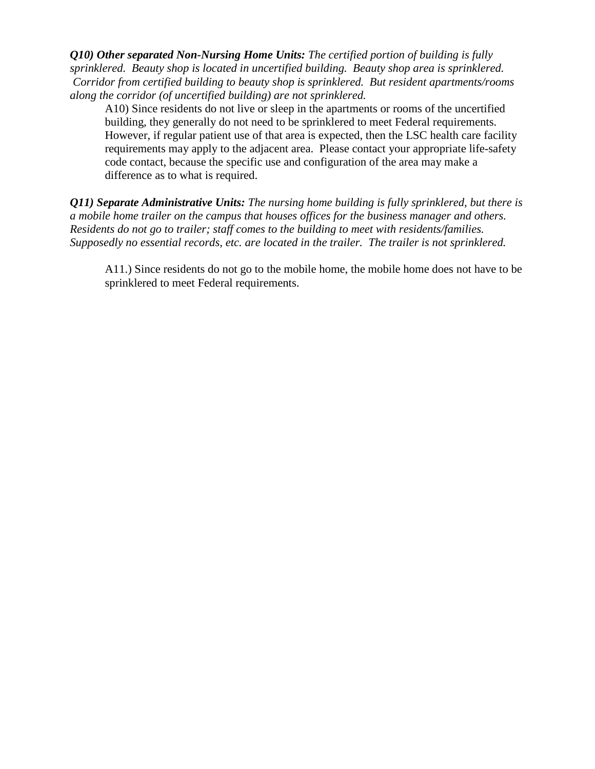*Q10) Other separated Non-Nursing Home Units: The certified portion of building is fully sprinklered. Beauty shop is located in uncertified building. Beauty shop area is sprinklered. Corridor from certified building to beauty shop is sprinklered. But resident apartments/rooms along the corridor (of uncertified building) are not sprinklered.*

A10) Since residents do not live or sleep in the apartments or rooms of the uncertified building, they generally do not need to be sprinklered to meet Federal requirements. However, if regular patient use of that area is expected, then the LSC health care facility requirements may apply to the adjacent area. Please contact your appropriate life-safety code contact, because the specific use and configuration of the area may make a difference as to what is required.

*Q11) Separate Administrative Units: The nursing home building is fully sprinklered, but there is a mobile home trailer on the campus that houses offices for the business manager and others. Residents do not go to trailer; staff comes to the building to meet with residents/families. Supposedly no essential records, etc. are located in the trailer. The trailer is not sprinklered.*

A11.) Since residents do not go to the mobile home, the mobile home does not have to be sprinklered to meet Federal requirements.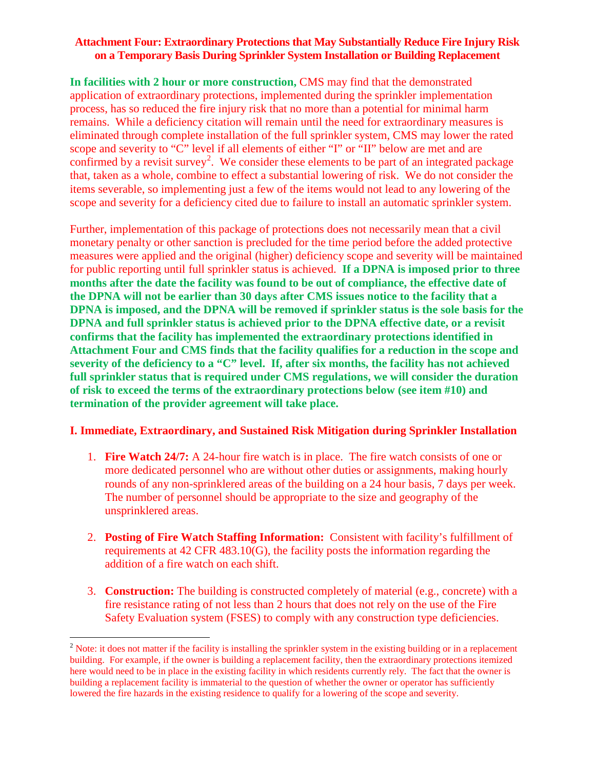### **Attachment Four: Extraordinary Protections that May Substantially Reduce Fire Injury Risk on a Temporary Basis During Sprinkler System Installation or Building Replacement**

**In facilities with 2 hour or more construction,** CMS may find that the demonstrated application of extraordinary protections, implemented during the sprinkler implementation process, has so reduced the fire injury risk that no more than a potential for minimal harm remains. While a deficiency citation will remain until the need for extraordinary measures is eliminated through complete installation of the full sprinkler system, CMS may lower the rated scope and severity to "C" level if all elements of either "I" or "II" below are met and are confirmed by a revisit survey<sup>[2](#page-11-0)</sup>. We consider these elements to be part of an integrated package that, taken as a whole, combine to effect a substantial lowering of risk. We do not consider the items severable, so implementing just a few of the items would not lead to any lowering of the scope and severity for a deficiency cited due to failure to install an automatic sprinkler system.

Further, implementation of this package of protections does not necessarily mean that a civil monetary penalty or other sanction is precluded for the time period before the added protective measures were applied and the original (higher) deficiency scope and severity will be maintained for public reporting until full sprinkler status is achieved. **If a DPNA is imposed prior to three months after the date the facility was found to be out of compliance, the effective date of the DPNA will not be earlier than 30 days after CMS issues notice to the facility that a DPNA is imposed, and the DPNA will be removed if sprinkler status is the sole basis for the DPNA and full sprinkler status is achieved prior to the DPNA effective date, or a revisit confirms that the facility has implemented the extraordinary protections identified in Attachment Four and CMS finds that the facility qualifies for a reduction in the scope and severity of the deficiency to a "C" level. If, after six months, the facility has not achieved full sprinkler status that is required under CMS regulations, we will consider the duration of risk to exceed the terms of the extraordinary protections below (see item #10) and termination of the provider agreement will take place.** 

## **I. Immediate, Extraordinary, and Sustained Risk Mitigation during Sprinkler Installation**

- 1. **Fire Watch 24/7:** A 24-hour fire watch is in place. The fire watch consists of one or more dedicated personnel who are without other duties or assignments, making hourly rounds of any non-sprinklered areas of the building on a 24 hour basis, 7 days per week. The number of personnel should be appropriate to the size and geography of the unsprinklered areas.
- 2. **Posting of Fire Watch Staffing Information:** Consistent with facility's fulfillment of requirements at 42 CFR 483.10(G), the facility posts the information regarding the addition of a fire watch on each shift.
- 3. **Construction:** The building is constructed completely of material (e.g., concrete) with a fire resistance rating of not less than 2 hours that does not rely on the use of the Fire Safety Evaluation system (FSES) to comply with any construction type deficiencies.

<span id="page-11-0"></span><sup>&</sup>lt;sup>2</sup> Note: it does not matter if the facility is installing the sprinkler system in the existing building or in a replacement building. For example, if the owner is building a replacement facility, then the extraordinary protections itemized here would need to be in place in the existing facility in which residents currently rely. The fact that the owner is building a replacement facility is immaterial to the question of whether the owner or operator has sufficiently lowered the fire hazards in the existing residence to qualify for a lowering of the scope and severity.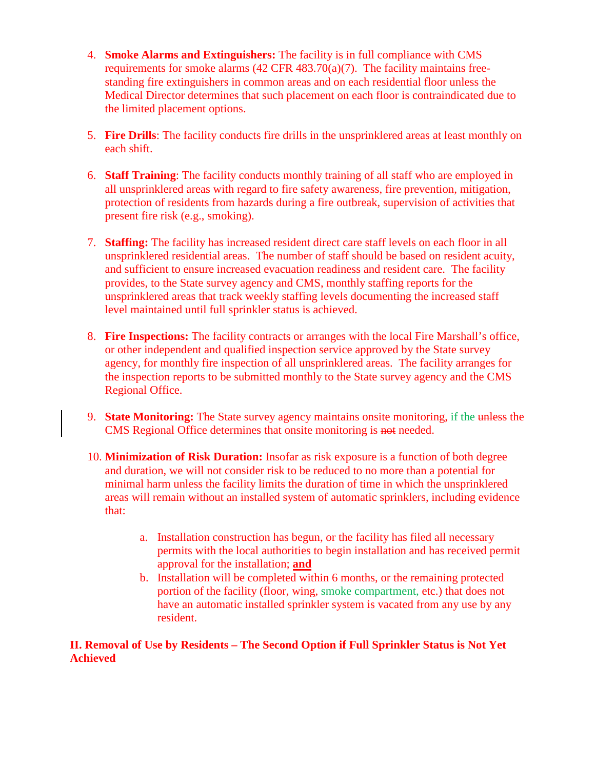- 4. **Smoke Alarms and Extinguishers:** The facility is in full compliance with CMS requirements for smoke alarms (42 CFR 483.70(a)(7). The facility maintains freestanding fire extinguishers in common areas and on each residential floor unless the Medical Director determines that such placement on each floor is contraindicated due to the limited placement options.
- 5. **Fire Drills**: The facility conducts fire drills in the unsprinklered areas at least monthly on each shift.
- 6. **Staff Training**: The facility conducts monthly training of all staff who are employed in all unsprinklered areas with regard to fire safety awareness, fire prevention, mitigation, protection of residents from hazards during a fire outbreak, supervision of activities that present fire risk (e.g., smoking).
- 7. **Staffing:** The facility has increased resident direct care staff levels on each floor in all unsprinklered residential areas. The number of staff should be based on resident acuity, and sufficient to ensure increased evacuation readiness and resident care. The facility provides, to the State survey agency and CMS, monthly staffing reports for the unsprinklered areas that track weekly staffing levels documenting the increased staff level maintained until full sprinkler status is achieved.
- 8. **Fire Inspections:** The facility contracts or arranges with the local Fire Marshall's office, or other independent and qualified inspection service approved by the State survey agency, for monthly fire inspection of all unsprinklered areas. The facility arranges for the inspection reports to be submitted monthly to the State survey agency and the CMS Regional Office.
- 9. **State Monitoring:** The State survey agency maintains onsite monitoring, if the unless the CMS Regional Office determines that onsite monitoring is not needed.
- 10. **Minimization of Risk Duration:** Insofar as risk exposure is a function of both degree and duration, we will not consider risk to be reduced to no more than a potential for minimal harm unless the facility limits the duration of time in which the unsprinklered areas will remain without an installed system of automatic sprinklers, including evidence that:
	- a. Installation construction has begun, or the facility has filed all necessary permits with the local authorities to begin installation and has received permit approval for the installation; **and**
	- b. Installation will be completed within 6 months, or the remaining protected portion of the facility (floor, wing, smoke compartment, etc.) that does not have an automatic installed sprinkler system is vacated from any use by any resident.

#### **II. Removal of Use by Residents – The Second Option if Full Sprinkler Status is Not Yet Achieved**